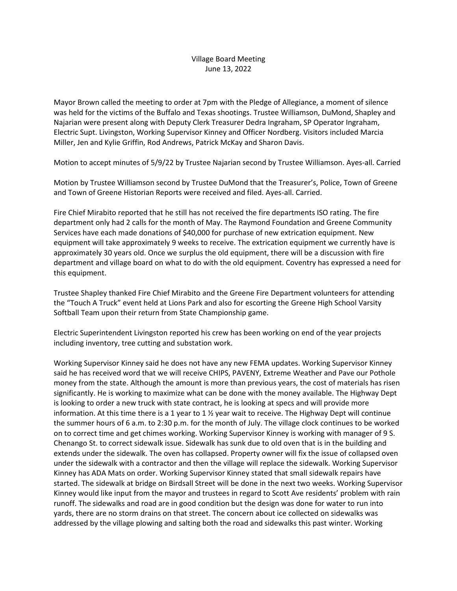## Village Board Meeting June 13, 2022

Mayor Brown called the meeting to order at 7pm with the Pledge of Allegiance, a moment of silence was held for the victims of the Buffalo and Texas shootings. Trustee Williamson, DuMond, Shapley and Najarian were present along with Deputy Clerk Treasurer Dedra Ingraham, SP Operator Ingraham, Electric Supt. Livingston, Working Supervisor Kinney and Officer Nordberg. Visitors included Marcia Miller, Jen and Kylie Griffin, Rod Andrews, Patrick McKay and Sharon Davis.

Motion to accept minutes of 5/9/22 by Trustee Najarian second by Trustee Williamson. Ayes-all. Carried

Motion by Trustee Williamson second by Trustee DuMond that the Treasurer's, Police, Town of Greene and Town of Greene Historian Reports were received and filed. Ayes-all. Carried.

Fire Chief Mirabito reported that he still has not received the fire departments ISO rating. The fire department only had 2 calls for the month of May. The Raymond Foundation and Greene Community Services have each made donations of \$40,000 for purchase of new extrication equipment. New equipment will take approximately 9 weeks to receive. The extrication equipment we currently have is approximately 30 years old. Once we surplus the old equipment, there will be a discussion with fire department and village board on what to do with the old equipment. Coventry has expressed a need for this equipment.

Trustee Shapley thanked Fire Chief Mirabito and the Greene Fire Department volunteers for attending the "Touch A Truck" event held at Lions Park and also for escorting the Greene High School Varsity Softball Team upon their return from State Championship game.

Electric Superintendent Livingston reported his crew has been working on end of the year projects including inventory, tree cutting and substation work.

Working Supervisor Kinney said he does not have any new FEMA updates. Working Supervisor Kinney said he has received word that we will receive CHIPS, PAVENY, Extreme Weather and Pave our Pothole money from the state. Although the amount is more than previous years, the cost of materials has risen significantly. He is working to maximize what can be done with the money available. The Highway Dept is looking to order a new truck with state contract, he is looking at specs and will provide more information. At this time there is a 1 year to 1  $\frac{1}{2}$  year wait to receive. The Highway Dept will continue the summer hours of 6 a.m. to 2:30 p.m. for the month of July. The village clock continues to be worked on to correct time and get chimes working. Working Supervisor Kinney is working with manager of 9 S. Chenango St. to correct sidewalk issue. Sidewalk has sunk due to old oven that is in the building and extends under the sidewalk. The oven has collapsed. Property owner will fix the issue of collapsed oven under the sidewalk with a contractor and then the village will replace the sidewalk. Working Supervisor Kinney has ADA Mats on order. Working Supervisor Kinney stated that small sidewalk repairs have started. The sidewalk at bridge on Birdsall Street will be done in the next two weeks. Working Supervisor Kinney would like input from the mayor and trustees in regard to Scott Ave residents' problem with rain runoff. The sidewalks and road are in good condition but the design was done for water to run into yards, there are no storm drains on that street. The concern about ice collected on sidewalks was addressed by the village plowing and salting both the road and sidewalks this past winter. Working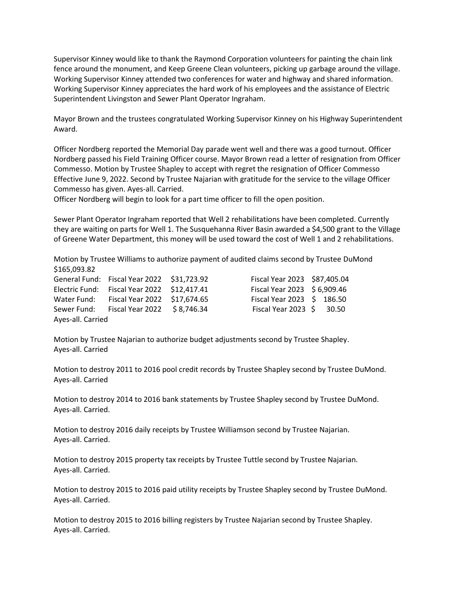Supervisor Kinney would like to thank the Raymond Corporation volunteers for painting the chain link fence around the monument, and Keep Greene Clean volunteers, picking up garbage around the village. Working Supervisor Kinney attended two conferences for water and highway and shared information. Working Supervisor Kinney appreciates the hard work of his employees and the assistance of Electric Superintendent Livingston and Sewer Plant Operator Ingraham.

Mayor Brown and the trustees congratulated Working Supervisor Kinney on his Highway Superintendent Award.

Officer Nordberg reported the Memorial Day parade went well and there was a good turnout. Officer Nordberg passed his Field Training Officer course. Mayor Brown read a letter of resignation from Officer Commesso. Motion by Trustee Shapley to accept with regret the resignation of Officer Commesso Effective June 9, 2022. Second by Trustee Najarian with gratitude for the service to the village Officer Commesso has given. Ayes-all. Carried.

Officer Nordberg will begin to look for a part time officer to fill the open position.

Sewer Plant Operator Ingraham reported that Well 2 rehabilitations have been completed. Currently they are waiting on parts for Well 1. The Susquehanna River Basin awarded a \$4,500 grant to the Village of Greene Water Department, this money will be used toward the cost of Well 1 and 2 rehabilitations.

Motion by Trustee Williams to authorize payment of audited claims second by Trustee DuMond \$165,093.82

|                   | General Fund: Fiscal Year 2022 \$31,723.92  | Fiscal Year 2023 \$87,405.04   |  |
|-------------------|---------------------------------------------|--------------------------------|--|
|                   | Electric Fund: Fiscal Year 2022 \$12,417.41 | Fiscal Year 2023 \$ 6,909.46   |  |
| Water Fund:       | Fiscal Year 2022 \$17,674.65                | Fiscal Year 2023 \$ 186.50     |  |
| Sewer Fund:       | Fiscal Year 2022 \$8,746.34                 | Fiscal Year 2023 $\,$ \$ 30.50 |  |
| Ayes-all. Carried |                                             |                                |  |

| Fiscal Year 2023 \$87,405.04 |       |
|------------------------------|-------|
| Fiscal Year 2023 \$ 6,909.46 |       |
| Fiscal Year 2023 \$ 186.50   |       |
| Fiscal Year 2023 \$          | 30.50 |

Motion by Trustee Najarian to authorize budget adjustments second by Trustee Shapley. Ayes-all. Carried

Motion to destroy 2011 to 2016 pool credit records by Trustee Shapley second by Trustee DuMond. Ayes-all. Carried

Motion to destroy 2014 to 2016 bank statements by Trustee Shapley second by Trustee DuMond. Ayes-all. Carried.

Motion to destroy 2016 daily receipts by Trustee Williamson second by Trustee Najarian. Ayes-all. Carried.

Motion to destroy 2015 property tax receipts by Trustee Tuttle second by Trustee Najarian. Ayes-all. Carried.

Motion to destroy 2015 to 2016 paid utility receipts by Trustee Shapley second by Trustee DuMond. Ayes-all. Carried.

Motion to destroy 2015 to 2016 billing registers by Trustee Najarian second by Trustee Shapley. Ayes-all. Carried.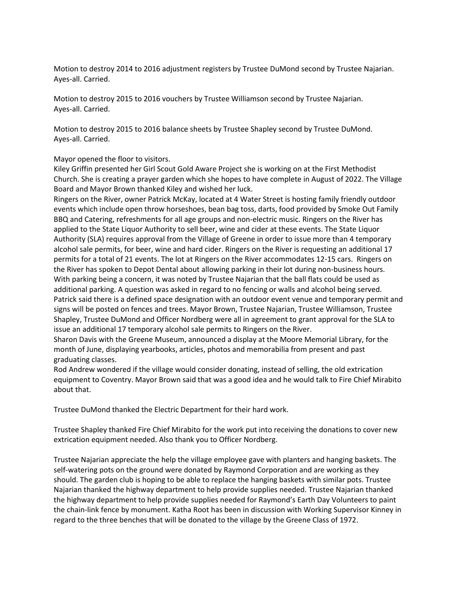Motion to destroy 2014 to 2016 adjustment registers by Trustee DuMond second by Trustee Najarian. Ayes-all. Carried.

Motion to destroy 2015 to 2016 vouchers by Trustee Williamson second by Trustee Najarian. Ayes-all. Carried.

Motion to destroy 2015 to 2016 balance sheets by Trustee Shapley second by Trustee DuMond. Ayes-all. Carried.

Mayor opened the floor to visitors.

Kiley Griffin presented her Girl Scout Gold Aware Project she is working on at the First Methodist Church. She is creating a prayer garden which she hopes to have complete in August of 2022. The Village Board and Mayor Brown thanked Kiley and wished her luck.

Ringers on the River, owner Patrick McKay, located at 4 Water Street is hosting family friendly outdoor events which include open throw horseshoes, bean bag toss, darts, food provided by Smoke Out Family BBQ and Catering, refreshments for all age groups and non-electric music. Ringers on the River has applied to the State Liquor Authority to sell beer, wine and cider at these events. The State Liquor Authority (SLA) requires approval from the Village of Greene in order to issue more than 4 temporary alcohol sale permits, for beer, wine and hard cider. Ringers on the River is requesting an additional 17 permits for a total of 21 events. The lot at Ringers on the River accommodates 12-15 cars. Ringers on the River has spoken to Depot Dental about allowing parking in their lot during non-business hours. With parking being a concern, it was noted by Trustee Najarian that the ball flats could be used as additional parking. A question was asked in regard to no fencing or walls and alcohol being served. Patrick said there is a defined space designation with an outdoor event venue and temporary permit and signs will be posted on fences and trees. Mayor Brown, Trustee Najarian, Trustee Williamson, Trustee Shapley, Trustee DuMond and Officer Nordberg were all in agreement to grant approval for the SLA to issue an additional 17 temporary alcohol sale permits to Ringers on the River.

Sharon Davis with the Greene Museum, announced a display at the Moore Memorial Library, for the month of June, displaying yearbooks, articles, photos and memorabilia from present and past graduating classes.

Rod Andrew wondered if the village would consider donating, instead of selling, the old extrication equipment to Coventry. Mayor Brown said that was a good idea and he would talk to Fire Chief Mirabito about that.

Trustee DuMond thanked the Electric Department for their hard work.

Trustee Shapley thanked Fire Chief Mirabito for the work put into receiving the donations to cover new extrication equipment needed. Also thank you to Officer Nordberg.

Trustee Najarian appreciate the help the village employee gave with planters and hanging baskets. The self-watering pots on the ground were donated by Raymond Corporation and are working as they should. The garden club is hoping to be able to replace the hanging baskets with similar pots. Trustee Najarian thanked the highway department to help provide supplies needed. Trustee Najarian thanked the highway department to help provide supplies needed for Raymond's Earth Day Volunteers to paint the chain-link fence by monument. Katha Root has been in discussion with Working Supervisor Kinney in regard to the three benches that will be donated to the village by the Greene Class of 1972.